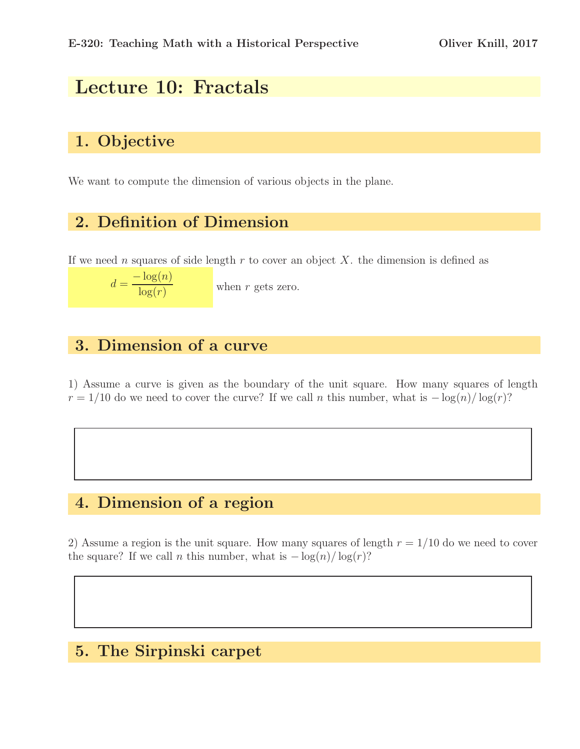# Lecture 10: Fractals

# 1. Objective

We want to compute the dimension of various objects in the plane.

# 2. Definition of Dimension

If we need *n* squares of side length  $r$  to cover an object  $X$ . the dimension is defined as

 $d =$  $-\log(n)$  $log(r)$ when  $r$  gets zero.

# 3. Dimension of a curve

1) Assume a curve is given as the boundary of the unit square. How many squares of length  $r = 1/10$  do we need to cover the curve? If we call n this number, what is  $-\log(n)/\log(r)$ ?

### 4. Dimension of a region

2) Assume a region is the unit square. How many squares of length  $r = 1/10$  do we need to cover the square? If we call n this number, what is  $-\log(n)/\log(r)$ ?

# 5. The Sirpinski carpet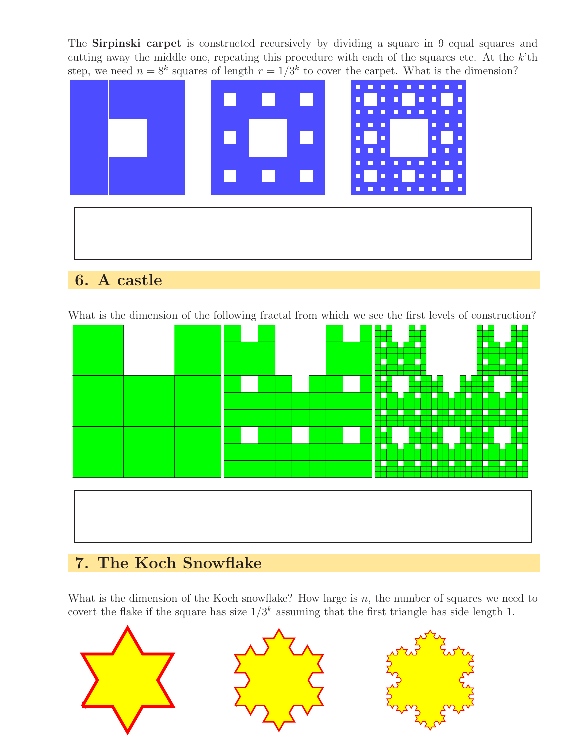The Sirpinski carpet is constructed recursively by dividing a square in 9 equal squares and cutting away the middle one, repeating this procedure with each of the squares etc. At the  $k$ 'th step, we need  $n = 8^k$  squares of length  $r = 1/3^k$  to cover the carpet. What is the dimension?



# 6. A castle

What is the dimension of the following fractal from which we see the first levels of construction?



# 7. The Koch Snowflake

What is the dimension of the Koch snowflake? How large is  $n$ , the number of squares we need to covert the flake if the square has size  $1/3^k$  assuming that the first triangle has side length 1.

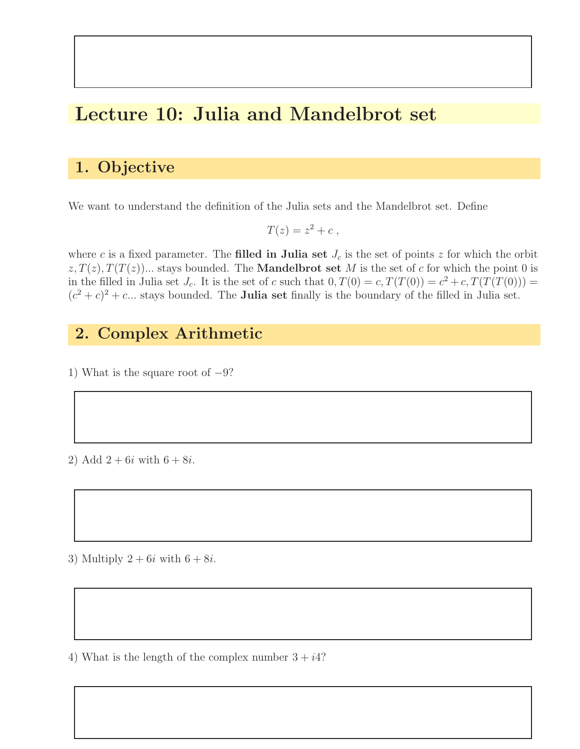# Lecture 10: Julia and Mandelbrot set

#### 1. Objective

We want to understand the definition of the Julia sets and the Mandelbrot set. Define

$$
T(z) = z^2 + c \ ,
$$

where c is a fixed parameter. The filled in Julia set  $J_c$  is the set of points z for which the orbit  $z, T(z), T(T(z))...$  stays bounded. The **Mandelbrot set** M is the set of c for which the point 0 is in the filled in Julia set  $J_c$ . It is the set of c such that  $0, T(0) = c, T(T(0)) = c^2 + c, T(T(T(0))) = c$  $(c^2+c)^2+c...$  stays bounded. The **Julia set** finally is the boundary of the filled in Julia set.

#### 2. Complex Arithmetic

1) What is the square root of −9?

2) Add  $2 + 6i$  with  $6 + 8i$ .

3) Multiply  $2 + 6i$  with  $6 + 8i$ .

4) What is the length of the complex number  $3 + i4$ ?